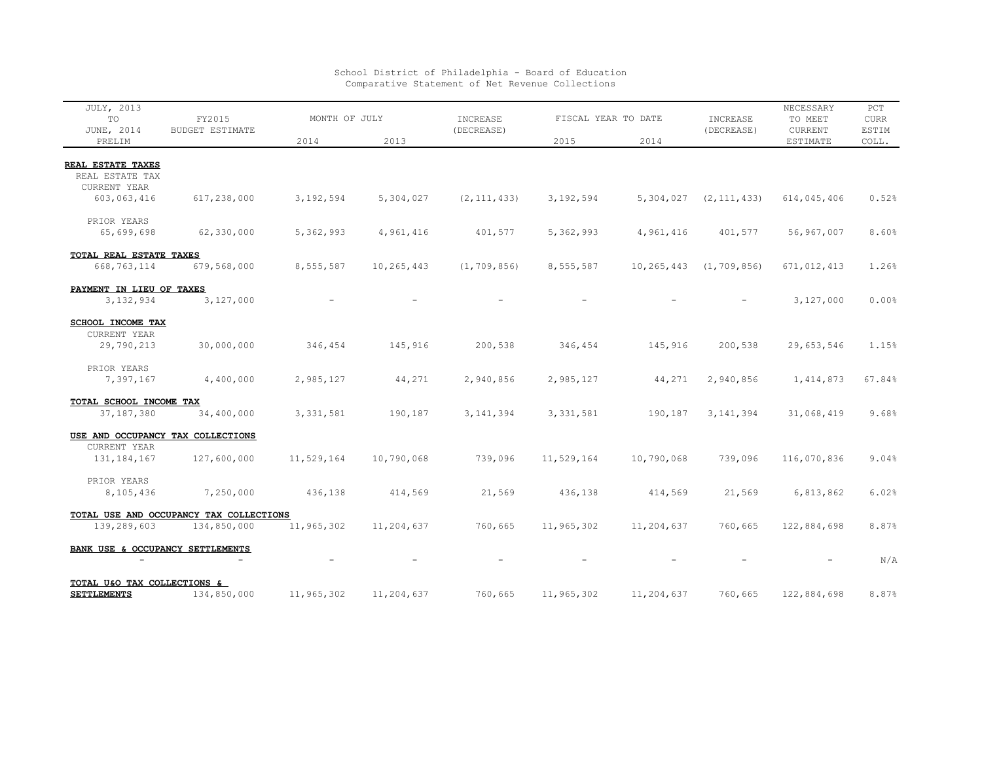| JULY, 2013<br>TO<br>JUNE, 2014       | FY2015<br><b>BUDGET ESTIMATE</b>        | MONTH OF JULY |            | INCREASE<br>(DECREASE) | FISCAL YEAR TO DATE |            | INCREASE<br>(DECREASE) | NECESSARY<br>TO MEET<br><b>CURRENT</b> | PCT<br><b>CURR</b><br>ESTIM |
|--------------------------------------|-----------------------------------------|---------------|------------|------------------------|---------------------|------------|------------------------|----------------------------------------|-----------------------------|
| PRELIM                               |                                         | 2014          | 2013       |                        | 2015                | 2014       |                        | ESTIMATE                               | COLL.                       |
|                                      |                                         |               |            |                        |                     |            |                        |                                        |                             |
| REAL ESTATE TAXES<br>REAL ESTATE TAX |                                         |               |            |                        |                     |            |                        |                                        |                             |
| CURRENT YEAR                         |                                         |               |            |                        |                     |            |                        |                                        |                             |
| 603,063,416                          | 617,238,000                             | 3,192,594     | 5,304,027  | (2, 111, 433)          | 3,192,594           | 5,304,027  | (2, 111, 433)          | 614,045,406                            | 0.52%                       |
|                                      |                                         |               |            |                        |                     |            |                        |                                        |                             |
| PRIOR YEARS                          |                                         |               |            |                        |                     |            |                        |                                        |                             |
| 65,699,698                           | 62,330,000                              | 5,362,993     | 4,961,416  | 401,577                | 5,362,993           | 4,961,416  | 401,577                | 56,967,007                             | 8.60%                       |
| TOTAL REAL ESTATE TAXES              |                                         |               |            |                        |                     |            |                        |                                        |                             |
| 668,763,114                          | 679,568,000                             | 8,555,587     | 10,265,443 | (1, 709, 856)          | 8,555,587           | 10,265,443 | (1, 709, 856)          | 671,012,413                            | 1.26%                       |
|                                      |                                         |               |            |                        |                     |            |                        |                                        |                             |
| PAYMENT IN LIEU OF TAXES             |                                         |               |            |                        |                     |            |                        |                                        |                             |
| 3,132,934                            | 3,127,000                               |               |            |                        |                     |            |                        | 3,127,000                              | 0.00%                       |
|                                      |                                         |               |            |                        |                     |            |                        |                                        |                             |
| SCHOOL INCOME TAX<br>CURRENT YEAR    |                                         |               |            |                        |                     |            |                        |                                        |                             |
| 29,790,213                           | 30,000,000                              | 346,454       | 145,916    | 200,538                | 346,454             | 145,916    | 200,538                | 29,653,546                             | 1.15%                       |
|                                      |                                         |               |            |                        |                     |            |                        |                                        |                             |
| PRIOR YEARS                          |                                         |               |            |                        |                     |            |                        |                                        |                             |
| 7,397,167                            | 4,400,000                               | 2,985,127     | 44,271     | 2,940,856              | 2,985,127           | 44,271     | 2,940,856              | 1, 414, 873                            | 67.84%                      |
| TOTAL SCHOOL INCOME TAX              |                                         |               |            |                        |                     |            |                        |                                        |                             |
| 37, 187, 380                         | 34,400,000                              | 3, 331, 581   | 190,187    | 3, 141, 394            | 3, 331, 581         | 190,187    | 3, 141, 394            | 31,068,419                             | 9.68%                       |
|                                      |                                         |               |            |                        |                     |            |                        |                                        |                             |
|                                      | USE AND OCCUPANCY TAX COLLECTIONS       |               |            |                        |                     |            |                        |                                        |                             |
| CURRENT YEAR                         |                                         |               |            |                        |                     |            |                        |                                        |                             |
| 131, 184, 167                        | 127,600,000                             | 11,529,164    | 10,790,068 | 739,096                | 11,529,164          | 10,790,068 | 739,096                | 116,070,836                            | 9.04%                       |
| PRIOR YEARS                          |                                         |               |            |                        |                     |            |                        |                                        |                             |
| 8,105,436                            | 7,250,000                               | 436,138       | 414,569    | 21,569                 | 436,138             | 414,569    | 21,569                 | 6,813,862                              | 6.02%                       |
|                                      |                                         |               |            |                        |                     |            |                        |                                        |                             |
|                                      | TOTAL USE AND OCCUPANCY TAX COLLECTIONS |               |            |                        |                     |            |                        |                                        |                             |
| 139,289,603                          | 134,850,000                             | 11,965,302    | 11,204,637 | 760,665                | 11,965,302          | 11,204,637 | 760,665                | 122,884,698                            | 8.87%                       |
| BANK USE & OCCUPANCY SETTLEMENTS     |                                         |               |            |                        |                     |            |                        |                                        |                             |
|                                      |                                         |               |            |                        |                     |            |                        |                                        | N/A                         |
|                                      |                                         |               |            |                        |                     |            |                        |                                        |                             |
| TOTAL U&O TAX COLLECTIONS &          |                                         |               |            |                        |                     |            |                        |                                        |                             |
| <b>SETTLEMENTS</b>                   | 134,850,000                             | 11,965,302    | 11,204,637 | 760,665                | 11,965,302          | 11,204,637 | 760,665                | 122,884,698                            | 8.87%                       |

## School District of Philadelphia - Board of Education Comparative Statement of Net Revenue Collections